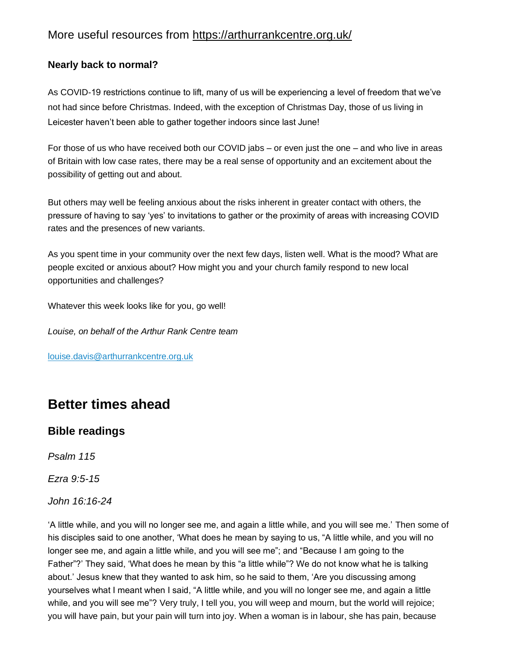## More useful resources from https://arthurrankcentre.org.uk/

#### **Nearly back to normal?**

As COVID-19 restrictions continue to lift, many of us will be experiencing a level of freedom that we've not had since before Christmas. Indeed, with the exception of Christmas Day, those of us living in Leicester haven't been able to gather together indoors since last June!

For those of us who have received both our COVID jabs – or even just the one – and who live in areas of Britain with low case rates, there may be a real sense of opportunity and an excitement about the possibility of getting out and about.

But others may well be feeling anxious about the risks inherent in greater contact with others, the pressure of having to say 'yes' to invitations to gather or the proximity of areas with increasing COVID rates and the presences of new variants.

As you spent time in your community over the next few days, listen well. What is the mood? What are people excited or anxious about? How might you and your church family respond to new local opportunities and challenges?

Whatever this week looks like for you, go well!

*Louise, on behalf of the Arthur Rank Centre team*

[louise.davis@arthurrankcentre.org.uk](mailto:louise.davis@arthurrankcentre.org.uk)

# **Better times ahead**

## **Bible readings**

*Psalm 115*

*Ezra 9:5-15*

*John 16:16-24*

'A little while, and you will no longer see me, and again a little while, and you will see me.' Then some of his disciples said to one another, 'What does he mean by saying to us, "A little while, and you will no longer see me, and again a little while, and you will see me"; and "Because I am going to the Father"?' They said, 'What does he mean by this "a little while"? We do not know what he is talking about.' Jesus knew that they wanted to ask him, so he said to them, 'Are you discussing among yourselves what I meant when I said, "A little while, and you will no longer see me, and again a little while, and you will see me"? Very truly, I tell you, you will weep and mourn, but the world will rejoice; you will have pain, but your pain will turn into joy. When a woman is in labour, she has pain, because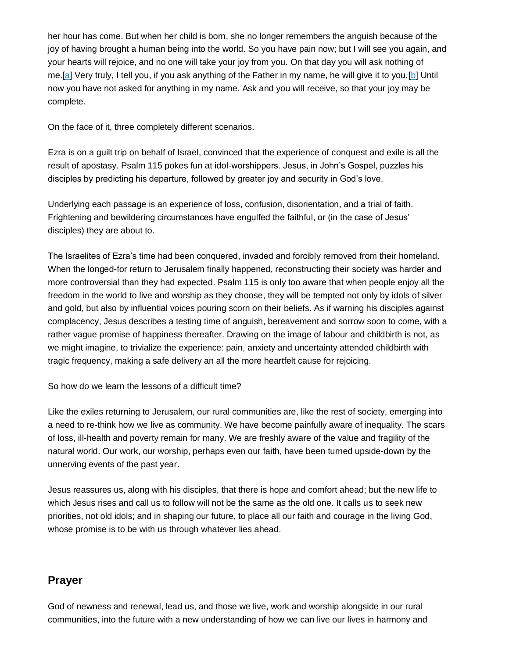her hour has come. But when her child is born, she no longer remembers the anguish because of the joy of having brought a human being into the world. So you have pain now; but I will see you again, and your hearts will rejoice, and no one will take your joy from you. On that day you will ask nothing of me.[\[a\]](https://arthurrankcentre.cmail20.com/t/i-l-mkuhdid-zdkirjjdk-d/) Very truly, I tell you, if you ask anything of the Father in my name, he will give it to you.[\[b\]](https://arthurrankcentre.cmail20.com/t/i-l-mkuhdid-zdkirjjdk-h/) Until now you have not asked for anything in my name. Ask and you will receive, so that your joy may be complete.

On the face of it, three completely different scenarios.

Ezra is on a guilt trip on behalf of Israel, convinced that the experience of conquest and exile is all the result of apostasy. Psalm 115 pokes fun at idol-worshippers. Jesus, in John's Gospel, puzzles his disciples by predicting his departure, followed by greater joy and security in God's love.

Underlying each passage is an experience of loss, confusion, disorientation, and a trial of faith. Frightening and bewildering circumstances have engulfed the faithful, or (in the case of Jesus' disciples) they are about to.

The Israelites of Ezra's time had been conquered, invaded and forcibly removed from their homeland. When the longed-for return to Jerusalem finally happened, reconstructing their society was harder and more controversial than they had expected. Psalm 115 is only too aware that when people enjoy all the freedom in the world to live and worship as they choose, they will be tempted not only by idols of silver and gold, but also by influential voices pouring scorn on their beliefs. As if warning his disciples against complacency, Jesus describes a testing time of anguish, bereavement and sorrow soon to come, with a rather vague promise of happiness thereafter. Drawing on the image of labour and childbirth is not, as we might imagine, to trivialize the experience: pain, anxiety and uncertainty attended childbirth with tragic frequency, making a safe delivery an all the more heartfelt cause for rejoicing.

So how do we learn the lessons of a difficult time?

Like the exiles returning to Jerusalem, our rural communities are, like the rest of society, emerging into a need to re-think how we live as community. We have become painfully aware of inequality. The scars of loss, ill-health and poverty remain for many. We are freshly aware of the value and fragility of the natural world. Our work, our worship, perhaps even our faith, have been turned upside-down by the unnerving events of the past year.

Jesus reassures us, along with his disciples, that there is hope and comfort ahead; but the new life to which Jesus rises and call us to follow will not be the same as the old one. It calls us to seek new priorities, not old idols; and in shaping our future, to place all our faith and courage in the living God, whose promise is to be with us through whatever lies ahead.

#### **Prayer**

God of newness and renewal, lead us, and those we live, work and worship alongside in our rural communities, into the future with a new understanding of how we can live our lives in harmony and